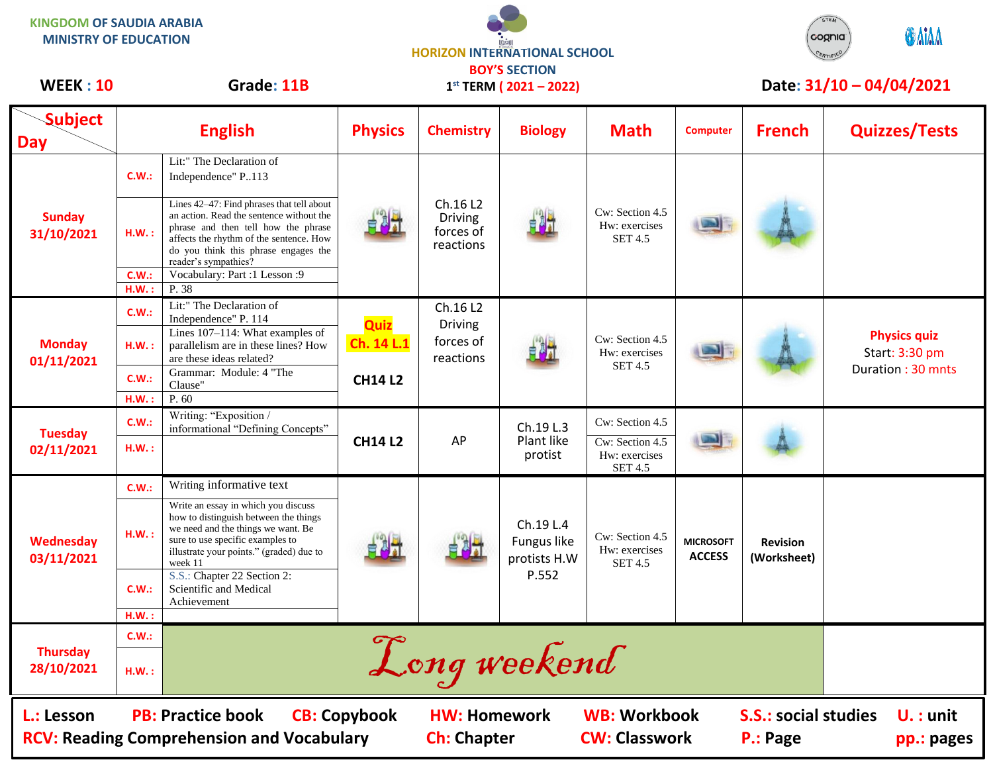| <b>KINGDOM OF SAUDIA ARABIA</b><br><b>MINISTRY OF EDUCATION</b> |       |                                                                                                                                                                                                                                         | <b>HORIZON INTERNATIONAL SCHOOL</b><br><b>BOY'S SECTION</b> |                                                      |                                                   |                                                                       |                                   |                                | <b>ONIAA</b><br>cognia                                     |
|-----------------------------------------------------------------|-------|-----------------------------------------------------------------------------------------------------------------------------------------------------------------------------------------------------------------------------------------|-------------------------------------------------------------|------------------------------------------------------|---------------------------------------------------|-----------------------------------------------------------------------|-----------------------------------|--------------------------------|------------------------------------------------------------|
| <b>WEEK: 10</b>                                                 |       | Grade: 11B                                                                                                                                                                                                                              |                                                             |                                                      | $1^{st}$ TERM ( $2021 - 2022$ )                   |                                                                       |                                   |                                | Date: 31/10 - 04/04/2021                                   |
| <b>Subject</b><br><b>Day</b>                                    |       | <b>English</b>                                                                                                                                                                                                                          | <b>Physics</b>                                              | <b>Chemistry</b>                                     | <b>Biology</b>                                    | <b>Math</b>                                                           | <b>Computer</b>                   | <b>French</b>                  | <b>Quizzes/Tests</b>                                       |
| <b>Sunday</b><br>31/10/2021                                     | C.W.: | Lit:" The Declaration of<br>Independence" P113                                                                                                                                                                                          |                                                             | Ch.16 L2<br><b>Driving</b><br>forces of<br>reactions |                                                   | Cw: Section 4.5<br>Hw: exercises<br><b>SET 4.5</b>                    |                                   |                                |                                                            |
|                                                                 | H.W.: | Lines 42-47: Find phrases that tell about<br>an action. Read the sentence without the<br>phrase and then tell how the phrase<br>affects the rhythm of the sentence. How<br>do you think this phrase engages the<br>reader's sympathies? |                                                             |                                                      |                                                   |                                                                       |                                   |                                |                                                            |
|                                                                 | C.W.  | Vocabulary: Part :1 Lesson :9                                                                                                                                                                                                           |                                                             |                                                      |                                                   |                                                                       |                                   |                                |                                                            |
|                                                                 | H.W.: | P. 38                                                                                                                                                                                                                                   |                                                             |                                                      |                                                   |                                                                       |                                   |                                |                                                            |
|                                                                 | C.W.: | Lit:" The Declaration of<br>Independence" P. 114                                                                                                                                                                                        | Quiz<br>Ch. 14 L.1<br><b>CH14 L2</b>                        | Ch.16 L2<br><b>Driving</b><br>forces of<br>reactions |                                                   | Cw: Section 4.5<br>Hw: exercises<br><b>SET 4.5</b>                    | <b>START</b>                      |                                |                                                            |
| <b>Monday</b><br>01/11/2021                                     | H.W.: | Lines 107-114: What examples of<br>parallelism are in these lines? How<br>are these ideas related?                                                                                                                                      |                                                             |                                                      |                                                   |                                                                       |                                   |                                | <b>Physics quiz</b><br>Start: 3:30 pm<br>Duration: 30 mnts |
|                                                                 | C.W.: | Grammar: Module: 4 "The<br>Clause"                                                                                                                                                                                                      |                                                             |                                                      |                                                   |                                                                       |                                   |                                |                                                            |
|                                                                 | H.W.  | P. 60                                                                                                                                                                                                                                   |                                                             |                                                      |                                                   |                                                                       |                                   |                                |                                                            |
| <b>Tuesday</b><br>02/11/2021                                    | C.W.: | Writing: "Exposition /<br>informational "Defining Concepts"                                                                                                                                                                             | <b>CH14 L2</b>                                              | AP                                                   | Ch.19 L.3<br>Plant like<br>protist                | Cw: Section 4.5<br>Cw: Section 4.5<br>Hw: exercises<br><b>SET 4.5</b> |                                   |                                |                                                            |
|                                                                 | H.W.: |                                                                                                                                                                                                                                         |                                                             |                                                      |                                                   |                                                                       |                                   |                                |                                                            |
| Wednesday<br>03/11/2021                                         | C.W.: | Writing informative text                                                                                                                                                                                                                |                                                             |                                                      | Ch.19 L.4<br>Fungus like<br>protists H.W<br>P.552 | Cw: Section 4.5<br>Hw: exercises<br><b>SET 4.5</b>                    | <b>MICROSOFT</b><br><b>ACCESS</b> | <b>Revision</b><br>(Worksheet) |                                                            |
|                                                                 | H.W.: | Write an essay in which you discuss<br>how to distinguish between the things<br>we need and the things we want. Be<br>sure to use specific examples to<br>illustrate your points." (graded) due to<br>week 11                           |                                                             |                                                      |                                                   |                                                                       |                                   |                                |                                                            |
|                                                                 | C.W.: | S.S.: Chapter 22 Section 2:<br>Scientific and Medical<br>Achievement                                                                                                                                                                    |                                                             |                                                      |                                                   |                                                                       |                                   |                                |                                                            |
|                                                                 | H.W.: |                                                                                                                                                                                                                                         |                                                             |                                                      |                                                   |                                                                       |                                   |                                |                                                            |
| <b>Thursday</b><br>28/10/2021                                   | C.W.: |                                                                                                                                                                                                                                         |                                                             |                                                      |                                                   |                                                                       |                                   |                                |                                                            |
|                                                                 | H.W.: |                                                                                                                                                                                                                                         |                                                             |                                                      | Long weekend                                      |                                                                       |                                   |                                |                                                            |

┑